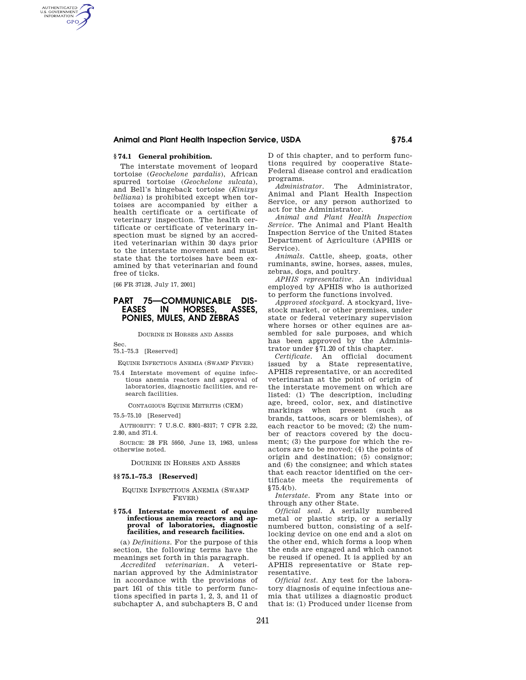## **Animal and Plant Health Inspection Service, USDA § 75.4**

## **§ 74.1 General prohibition.**

AUTHENTICATED<br>U.S. GOVERNMENT<br>INFORMATION **GPO** 

> The interstate movement of leopard tortoise (*Geochelone pardalis*), African spurred tortoise (*Geochelone sulcata*), and Bell's hingeback tortoise (*Kinixys belliana*) is prohibited except when tortoises are accompanied by either a health certificate or a certificate of veterinary inspection. The health certificate or certificate of veterinary inspection must be signed by an accredited veterinarian within 30 days prior to the interstate movement and must state that the tortoises have been examined by that veterinarian and found free of ticks.

[66 FR 37128, July 17, 2001]

# **PART 75—COMMUNICABLE DIS-HORSES. PONIES, MULES, AND ZEBRAS**

DOURINE IN HORSES AND ASSES

Sec. 75.1–75.3 [Reserved]

EQUINE INFECTIOUS ANEMIA (SWAMP FEVER)

75.4 Interstate movement of equine infectious anemia reactors and approval of laboratories, diagnostic facilities, and research facilities.

CONTAGIOUS EQUINE METRITIS (CEM)

75.5–75.10 [Reserved]

AUTHORITY: 7 U.S.C. 8301–8317; 7 CFR 2.22, 2.80, and 371.4.

SOURCE: 28 FR 5950, June 13, 1963, unless otherwise noted.

DOURINE IN HORSES AND ASSES

### **§§ 75.1–75.3 [Reserved]**

### EQUINE INFECTIOUS ANEMIA (SWAMP) FEVER)

#### **§ 75.4 Interstate movement of equine infectious anemia reactors and approval of laboratories, diagnostic facilities, and research facilities.**

(a) *Definitions.* For the purpose of this section, the following terms have the meanings set forth in this paragraph.

*Accredited veterinarian.* A veterinarian approved by the Administrator in accordance with the provisions of part 161 of this title to perform functions specified in parts 1, 2, 3, and 11 of subchapter A, and subchapters B, C and

D of this chapter, and to perform functions required by cooperative State-Federal disease control and eradication programs.

*Administrator.* The Administrator, Animal and Plant Health Inspection Service, or any person authorized to act for the Administrator.

*Animal and Plant Health Inspection Service.* The Animal and Plant Health Inspection Service of the United States Department of Agriculture (APHIS or Service).

*Animals.* Cattle, sheep, goats, other ruminants, swine, horses, asses, mules, zebras, dogs, and poultry.

*APHIS representative.* An individual employed by APHIS who is authorized to perform the functions involved.

*Approved stockyard.* A stockyard, livestock market, or other premises, under state or federal veterinary supervision where horses or other equines are assembled for sale purposes, and which has been approved by the Administrator under §71.20 of this chapter.

*Certificate.* An official document issued by a State representative, APHIS representative, or an accredited veterinarian at the point of origin of the interstate movement on which are listed: (1) The description, including age, breed, color, sex, and distinctive markings when present (such as brands, tattoos, scars or blemishes), of each reactor to be moved; (2) the number of reactors covered by the document; (3) the purpose for which the reactors are to be moved; (4) the points of origin and destination; (5) consignor; and (6) the consignee; and which states that each reactor identified on the certificate meets the requirements of §75.4(b).

*Interstate.* From any State into or through any other State.

*Official seal.* A serially numbered metal or plastic strip, or a serially numbered button, consisting of a selflocking device on one end and a slot on the other end, which forms a loop when the ends are engaged and which cannot be reused if opened. It is applied by an APHIS representative or State representative.

*Official test.* Any test for the laboratory diagnosis of equine infectious anemia that utilizes a diagnostic product that is: (1) Produced under license from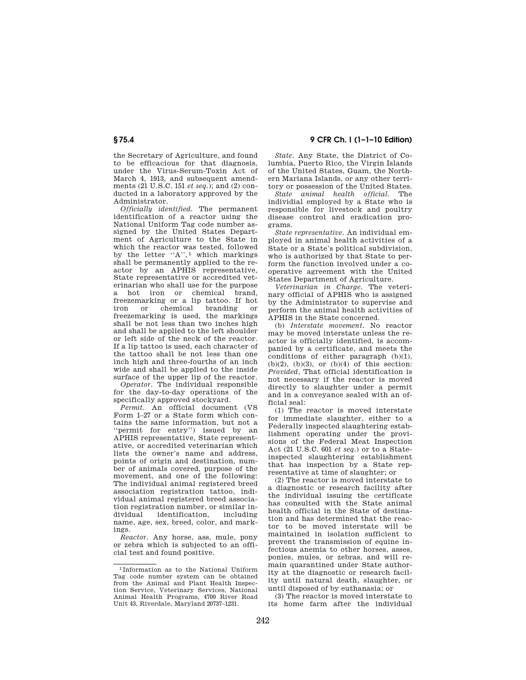the Secretary of Agriculture, and found to be efficacious for that diagnosis, under the Virus-Serum-Toxin Act of March 4, 1913, and subsequent amendments (21 U.S.C. 151 *et seq.*); and (2) conducted in a laboratory approved by the Administrator.

*Officially identified.* The permanent identification of a reactor using the National Uniform Tag code number assigned by the United States Department of Agriculture to the State in which the reactor was tested, followed by the letter  $(A^{\prime\prime}, A^{\prime\prime})$  which markings shall be permanently applied to the reactor by an APHIS representative, State representative or accredited veterinarian who shall use for the purpose a hot iron or chemical brand, freezemarking or a lip tattoo. If hot iron or chemical branding or freezemarking is used, the markings shall be not less than two inches high and shall be applied to the left shoulder or left side of the neck of the reactor. If a lip tattoo is used, each character of the tattoo shall be not less than one inch high and three-fourths of an inch wide and shall be applied to the inside surface of the upper lip of the reactor.

*Operator.* The individual responsible for the day-to-day operations of the specifically approved stockyard.

*Permit.* An official document (VS Form 1–27 or a State form which contains the same information, but not a ''permit for entry'') issued by an APHIS representative, State representative, or accredited veterinarian which lists the owner's name and address, points of origin and destination, number of animals covered, purpose of the movement, and one of the following: The individual animal registered breed association registration tattoo, individual animal registered breed association registration number, or similar individual identification, including name, age, sex, breed, color, and markings.

*Reactor.* Any horse, ass, mule, pony or zebra which is subjected to an official test and found positive.

# **§ 75.4 9 CFR Ch. I (1–1–10 Edition)**

*State.* Any State, the District of Columbia, Puerto Rico, the Virgin Islands of the United States, Guam, the Northern Mariana Islands, or any other territory or possession of the United States.

*State animal health official.* The individial employed by a State who is responsible for livestock and poultry disease control and eradication programs.

*State representative.* An individual employed in animal health activities of a State or a State's political subdivision, who is authorized by that State to perform the function involved under a cooperative agreement with the United States Department of Agriculture.

*Veterinarian in Charge.* The veterinary official of APHIS who is assigned by the Administrator to supervise and perform the animal health activities of APHIS in the State concerned.

(b) *Interstate movement.* No reactor may be moved interstate unless the reactor is officially identified, is accompanied by a certificate, and meets the conditions of either paragraph (b)(1),  $(b)(2)$ ,  $(b)(3)$ , or  $(b)(4)$  of this section: *Provided,* That official identification is not necessary if the reactor is moved directly to slaughter under a permit and in a conveyance sealed with an official seal:

(1) The reactor is moved interstate for immediate slaughter, either to a Federally inspected slaughtering establishment operating under the provisions of the Federal Meat Inspection Act (21 U.S.C. 601 *et seq.*) or to a Stateinspected slaughtering establishment that has inspection by a State representative at time of slaughter; or

(2) The reactor is moved interstate to a diagnostic or research facility after the individual issuing the certificate has consulted with the State animal health official in the State of destination and has determined that the reactor to be moved interstate will be maintained in isolation sufficient to prevent the transmission of equine infectious anemia to other horses, asses, ponies, mules, or zebras, and will remain quarantined under State authority at the diagnostic or research facility until natural death, slaughter, or until disposed of by euthanasia; or

(3) The reactor is moved interstate to its home farm after the individual

<sup>1</sup> Information as to the National Uniform Tag code number system can be obtained from the Animal and Plant Health Inspection Service, Veterinary Services, National Animal Health Programs, 4700 River Road Unit 43, Riverdale, Maryland 20737–1231.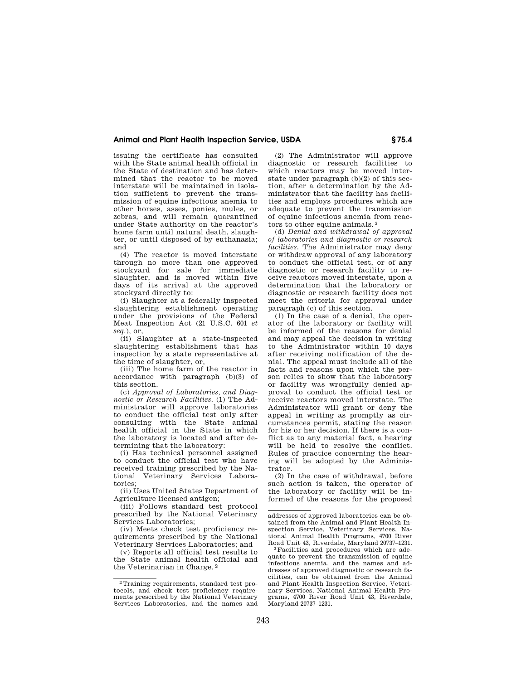## **Animal and Plant Health Inspection Service, USDA § 75.4**

issuing the certificate has consulted with the State animal health official in the State of destination and has determined that the reactor to be moved interstate will be maintained in isolation sufficient to prevent the transmission of equine infectious anemia to other horses, asses, ponies, mules, or zebras, and will remain quarantined under State authority on the reactor's home farm until natural death, slaughter, or until disposed of by euthanasia; and

(4) The reactor is moved interstate through no more than one approved stockyard for sale for immediate slaughter, and is moved within five days of its arrival at the approved stockyard directly to:

(i) Slaughter at a federally inspected slaughtering establishment operating under the provisions of the Federal Meat Inspection Act (21 U.S.C. 601 *et seq.*), or,

(ii) Slaughter at a state-inspected slaughtering establishment that has inspection by a state representative at the time of slaughter, or,

(iii) The home farm of the reactor in accordance with paragraph (b)(3) of this section.

(c) *Approval of Laboratories, and Diagnostic or Research Facilities.* (1) The Administrator will approve laboratories to conduct the official test only after consulting with the State animal health official in the State in which the laboratory is located and after determining that the laboratory:

(i) Has technical personnel assigned to conduct the official test who have received training prescribed by the National Veterinary Services Laboratories;

(ii) Uses United States Department of Agriculture licensed antigen;

(iii) Follows standard test protocol prescribed by the National Veterinary Services Laboratories;

(iv) Meets check test proficiency requirements prescribed by the National Veterinary Services Laboratories; and

(v) Reports all official test results to the State animal health official and the Veterinarian in Charge. 2

(2) The Administrator will approve diagnostic or research facilities to which reactors may be moved interstate under paragraph (b)(2) of this section, after a determination by the Administrator that the facility has facilities and employs procedures which are adequate to prevent the transmission of equine infectious anemia from reactors to other equine animals. 3

(d) *Denial and withdrawal of approval of laboratories and diagnostic or research facilities.* The Administrator may deny or withdraw approval of any laboratory to conduct the official test, or of any diagnostic or research facility to receive reactors moved interstate, upon a determination that the laboratory or diagnostic or research facility does not meet the criteria for approval under paragraph (c) of this section.

 $(1)$  In the case of a denial, the operator of the laboratory or facility will be informed of the reasons for denial and may appeal the decision in writing to the Administrator within 10 days after receiving notification of the denial. The appeal must include all of the facts and reasons upon which the person relies to show that the laboratory or facility was wrongfully denied approval to conduct the official test or receive reactors moved interstate. The Administrator will grant or deny the appeal in writing as promptly as circumstances permit, stating the reason for his or her decision. If there is a conflict as to any material fact, a hearing will be held to resolve the conflict. Rules of practice concerning the hearing will be adopted by the Administrator.

(2) In the case of withdrawal, before such action is taken, the operator of the laboratory or facility will be informed of the reasons for the proposed

Road Unit 43, Riverdale, Maryland 20737–1231. 3Facilities and procedures which are adequate to prevent the transmission of equine infectious anemia, and the names and addresses of approved diagnostic or research facilities, can be obtained from the Animal and Plant Health Inspection Service, Veterinary Services, National Animal Health Programs, 4700 River Road Unit 43, Riverdale, Maryland 20737–1231.

<sup>2</sup>Training requirements, standard test protocols, and check test proficiency requirements prescribed by the National Veterinary Services Laboratories, and the names and

addresses of approved laboratories can be obtained from the Animal and Plant Health Inspection Service, Veterinary Services, National Animal Health Programs, 4700 River